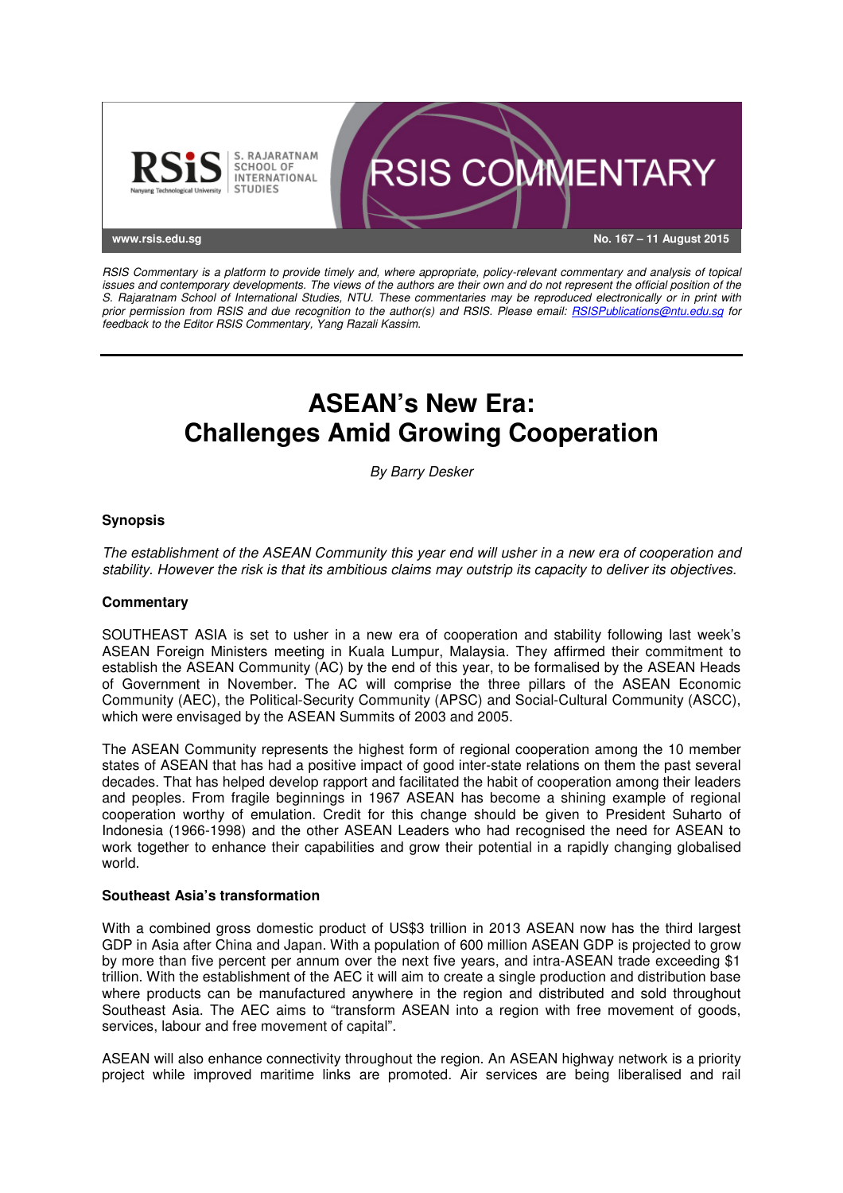

*RSIS Commentary is a platform to provide timely and, where appropriate, policy-relevant commentary and analysis of topical issues and contemporary developments. The views of the authors are their own and do not represent the official position of the S. Rajaratnam School of International Studies, NTU. These commentaries may be reproduced electronically or in print with prior permission from RSIS and due recognition to the author(s) and RSIS. Please email: RSISPublications@ntu.edu.sg for feedback to the Editor RSIS Commentary, Yang Razali Kassim.* 

# **ASEAN's New Era: Challenges Amid Growing Cooperation**

*By Barry Desker* 

# **Synopsis**

*The establishment of the ASEAN Community this year end will usher in a new era of cooperation and stability. However the risk is that its ambitious claims may outstrip its capacity to deliver its objectives.*

## **Commentary**

SOUTHEAST ASIA is set to usher in a new era of cooperation and stability following last week's ASEAN Foreign Ministers meeting in Kuala Lumpur, Malaysia. They affirmed their commitment to establish the ASEAN Community (AC) by the end of this year, to be formalised by the ASEAN Heads of Government in November. The AC will comprise the three pillars of the ASEAN Economic Community (AEC), the Political-Security Community (APSC) and Social-Cultural Community (ASCC), which were envisaged by the ASEAN Summits of 2003 and 2005.

The ASEAN Community represents the highest form of regional cooperation among the 10 member states of ASEAN that has had a positive impact of good inter-state relations on them the past several decades. That has helped develop rapport and facilitated the habit of cooperation among their leaders and peoples. From fragile beginnings in 1967 ASEAN has become a shining example of regional cooperation worthy of emulation. Credit for this change should be given to President Suharto of Indonesia (1966-1998) and the other ASEAN Leaders who had recognised the need for ASEAN to work together to enhance their capabilities and grow their potential in a rapidly changing globalised world.

### **Southeast Asia's transformation**

With a combined gross domestic product of US\$3 trillion in 2013 ASEAN now has the third largest GDP in Asia after China and Japan. With a population of 600 million ASEAN GDP is projected to grow by more than five percent per annum over the next five years, and intra-ASEAN trade exceeding \$1 trillion. With the establishment of the AEC it will aim to create a single production and distribution base where products can be manufactured anywhere in the region and distributed and sold throughout Southeast Asia. The AEC aims to "transform ASEAN into a region with free movement of goods, services, labour and free movement of capital".

ASEAN will also enhance connectivity throughout the region. An ASEAN highway network is a priority project while improved maritime links are promoted. Air services are being liberalised and rail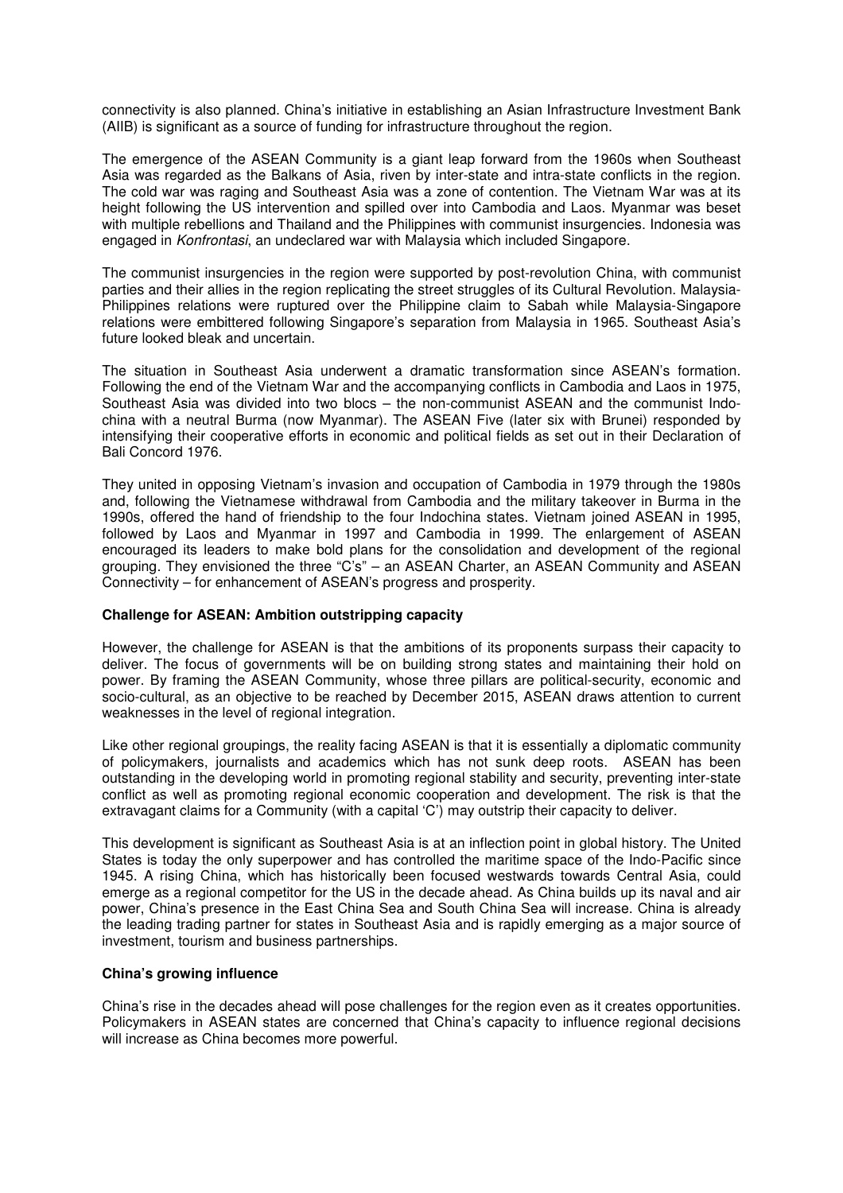connectivity is also planned. China's initiative in establishing an Asian Infrastructure Investment Bank (AIIB) is significant as a source of funding for infrastructure throughout the region.

The emergence of the ASEAN Community is a giant leap forward from the 1960s when Southeast Asia was regarded as the Balkans of Asia, riven by inter-state and intra-state conflicts in the region. The cold war was raging and Southeast Asia was a zone of contention. The Vietnam War was at its height following the US intervention and spilled over into Cambodia and Laos. Myanmar was beset with multiple rebellions and Thailand and the Philippines with communist insurgencies. Indonesia was engaged in *Konfrontasi*, an undeclared war with Malaysia which included Singapore.

The communist insurgencies in the region were supported by post-revolution China, with communist parties and their allies in the region replicating the street struggles of its Cultural Revolution. Malaysia-Philippines relations were ruptured over the Philippine claim to Sabah while Malaysia-Singapore relations were embittered following Singapore's separation from Malaysia in 1965. Southeast Asia's future looked bleak and uncertain.

The situation in Southeast Asia underwent a dramatic transformation since ASEAN's formation. Following the end of the Vietnam War and the accompanying conflicts in Cambodia and Laos in 1975, Southeast Asia was divided into two blocs – the non-communist ASEAN and the communist Indochina with a neutral Burma (now Myanmar). The ASEAN Five (later six with Brunei) responded by intensifying their cooperative efforts in economic and political fields as set out in their Declaration of Bali Concord 1976.

They united in opposing Vietnam's invasion and occupation of Cambodia in 1979 through the 1980s and, following the Vietnamese withdrawal from Cambodia and the military takeover in Burma in the 1990s, offered the hand of friendship to the four Indochina states. Vietnam joined ASEAN in 1995, followed by Laos and Myanmar in 1997 and Cambodia in 1999. The enlargement of ASEAN encouraged its leaders to make bold plans for the consolidation and development of the regional grouping. They envisioned the three "C's" – an ASEAN Charter, an ASEAN Community and ASEAN Connectivity – for enhancement of ASEAN's progress and prosperity.

### **Challenge for ASEAN: Ambition outstripping capacity**

However, the challenge for ASEAN is that the ambitions of its proponents surpass their capacity to deliver. The focus of governments will be on building strong states and maintaining their hold on power. By framing the ASEAN Community, whose three pillars are political-security, economic and socio-cultural, as an objective to be reached by December 2015, ASEAN draws attention to current weaknesses in the level of regional integration.

Like other regional groupings, the reality facing ASEAN is that it is essentially a diplomatic community of policymakers, journalists and academics which has not sunk deep roots. ASEAN has been outstanding in the developing world in promoting regional stability and security, preventing inter-state conflict as well as promoting regional economic cooperation and development. The risk is that the extravagant claims for a Community (with a capital 'C') may outstrip their capacity to deliver.

This development is significant as Southeast Asia is at an inflection point in global history. The United States is today the only superpower and has controlled the maritime space of the Indo-Pacific since 1945. A rising China, which has historically been focused westwards towards Central Asia, could emerge as a regional competitor for the US in the decade ahead. As China builds up its naval and air power, China's presence in the East China Sea and South China Sea will increase. China is already the leading trading partner for states in Southeast Asia and is rapidly emerging as a major source of investment, tourism and business partnerships.

## **China's growing influence**

China's rise in the decades ahead will pose challenges for the region even as it creates opportunities. Policymakers in ASEAN states are concerned that China's capacity to influence regional decisions will increase as China becomes more powerful.